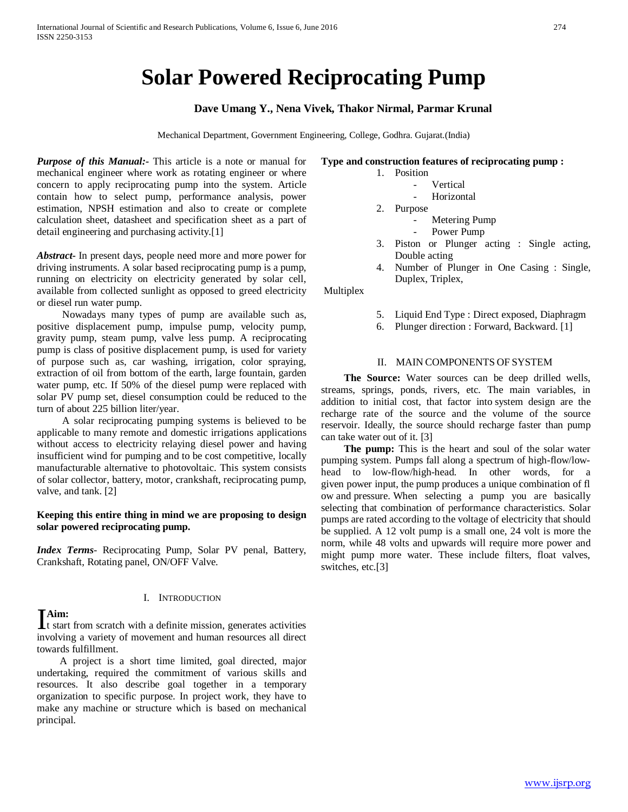# **Solar Powered Reciprocating Pump**

#### **Dave Umang Y., Nena Vivek, Thakor Nirmal, Parmar Krunal**

Mechanical Department, Government Engineering, College, Godhra. Gujarat.(India)

*Purpose of this Manual:-* This article is a note or manual for mechanical engineer where work as rotating engineer or where concern to apply reciprocating pump into the system. Article contain how to select pump, performance analysis, power estimation, NPSH estimation and also to create or complete calculation sheet, datasheet and specification sheet as a part of detail engineering and purchasing activity.[1]

*Abstract***-** In present days, people need more and more power for driving instruments. A solar based reciprocating pump is a pump, running on electricity on electricity generated by solar cell, available from collected sunlight as opposed to greed electricity or diesel run water pump.

 Nowadays many types of pump are available such as, positive displacement pump, impulse pump, velocity pump, gravity pump, steam pump, valve less pump. A reciprocating pump is class of positive displacement pump, is used for variety of purpose such as, car washing, irrigation, color spraying, extraction of oil from bottom of the earth, large fountain, garden water pump, etc. If 50% of the diesel pump were replaced with solar PV pump set, diesel consumption could be reduced to the turn of about 225 billion liter/year.

 A solar reciprocating pumping systems is believed to be applicable to many remote and domestic irrigations applications without access to electricity relaying diesel power and having insufficient wind for pumping and to be cost competitive, locally manufacturable alternative to photovoltaic. This system consists of solar collector, battery, motor, crankshaft, reciprocating pump, valve, and tank. [2]

#### **Keeping this entire thing in mind we are proposing to design solar powered reciprocating pump.**

*Index Terms*- Reciprocating Pump, Solar PV penal, Battery, Crankshaft, Rotating panel, ON/OFF Valve.

#### I. INTRODUCTION

### **Aim:**

**The start from scratch with a definite mission, generates activities** involving a variety of movement and human resources all direct towards fulfillment.

 A project is a short time limited, goal directed, major undertaking, required the commitment of various skills and resources. It also describe goal together in a temporary organization to specific purpose. In project work, they have to make any machine or structure which is based on mechanical principal.

#### **Type and construction features of reciprocating pump :**

- 1. Position
	- **Vertical**
	- **Horizontal**
- 2. Purpose
	- Metering Pump
	- Power Pump
- 3. Piston or Plunger acting : Single acting, Double acting
- 4. Number of Plunger in One Casing : Single, Duplex, Triplex,

Multiplex

- 5. Liquid End Type : Direct exposed, Diaphragm
- 6. Plunger direction : Forward, Backward. [1]

#### II. MAIN COMPONENTS OF SYSTEM

 **The Source:** Water sources can be deep drilled wells, streams, springs, ponds, rivers, etc. The main variables, in addition to initial cost, that factor into system design are the recharge rate of the source and the volume of the source reservoir. Ideally, the source should recharge faster than pump can take water out of it. [3]

**The pump:** This is the heart and soul of the solar water pumping system. Pumps fall along a spectrum of high-flow/lowhead to low-flow/high-head. In other words, for a given power input, the pump produces a unique combination of fl ow and pressure. When selecting a pump you are basically selecting that combination of performance characteristics. Solar pumps are rated according to the voltage of electricity that should be supplied. A 12 volt pump is a small one, 24 volt is more the norm, while 48 volts and upwards will require more power and might pump more water. These include filters, float valves, switches, etc.[3]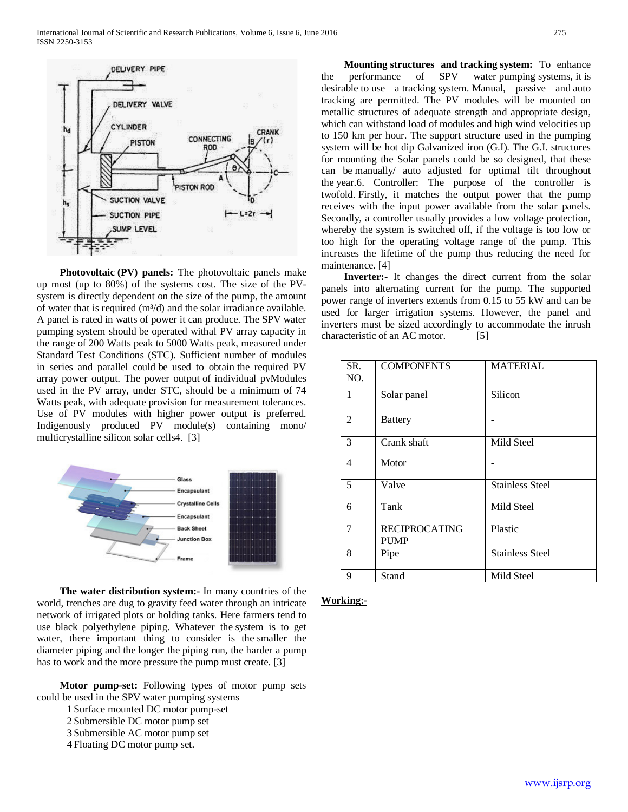

 **Photovoltaic (PV) panels:** The photovoltaic panels make up most (up to 80%) of the systems cost. The size of the PVsystem is directly dependent on the size of the pump, the amount of water that is required  $(m<sup>3</sup>/d)$  and the solar irradiance available. A panel is rated in watts of power it can produce. The SPV water pumping system should be operated withal PV array capacity in the range of 200 Watts peak to 5000 Watts peak, measured under Standard Test Conditions (STC). Sufficient number of modules in series and parallel could be used to obtain the required PV array power output. The power output of individual pvModules used in the PV array, under STC, should be a minimum of 74 Watts peak, with adequate provision for measurement tolerances. Use of PV modules with higher power output is preferred. Indigenously produced PV module(s) containing mono/ multicrystalline silicon solar cells4. [3]



 **The water distribution system:-** In many countries of the world, trenches are dug to gravity feed water through an intricate network of irrigated plots or holding tanks. Here farmers tend to use black polyethylene piping. Whatever the system is to get water, there important thing to consider is the smaller the diameter piping and the longer the piping run, the harder a pump has to work and the more pressure the pump must create. [3]

 **Motor pump-set:** Following types of motor pump sets could be used in the SPV water pumping systems

- 1 Surface mounted DC motor pump-set
- 2 Submersible DC motor pump set
- 3 Submersible AC motor pump set
- 4 Floating DC motor pump set.

 **Mounting structures and tracking system:** To enhance the performance of SPV water pumping systems, it is desirable to use a tracking system. Manual, passive and auto tracking are permitted. The PV modules will be mounted on metallic structures of adequate strength and appropriate design, which can withstand load of modules and high wind velocities up to 150 km per hour. The support structure used in the pumping system will be hot dip Galvanized iron (G.I). The G.I. structures for mounting the Solar panels could be so designed, that these can be manually/ auto adjusted for optimal tilt throughout the year.6. Controller: The purpose of the controller is twofold. Firstly, it matches the output power that the pump receives with the input power available from the solar panels. Secondly, a controller usually provides a low voltage protection, whereby the system is switched off, if the voltage is too low or too high for the operating voltage range of the pump. This increases the lifetime of the pump thus reducing the need for maintenance. [4]

 **Inverter:-** It changes the direct current from the solar panels into alternating current for the pump. The supported power range of inverters extends from 0.15 to 55 kW and can be used for larger irrigation systems. However, the panel and inverters must be sized accordingly to accommodate the inrush characteristic of an AC motor. [5]

| SR.<br>NO. | <b>COMPONENTS</b>                   | <b>MATERIAL</b>        |
|------------|-------------------------------------|------------------------|
| 1          | Solar panel                         | Silicon                |
| 2          | <b>Battery</b>                      |                        |
| 3          | Crank shaft                         | Mild Steel             |
| 4          | Motor                               |                        |
| 5          | Valve                               | <b>Stainless Steel</b> |
| 6          | Tank                                | Mild Steel             |
| 7          | <b>RECIPROCATING</b><br><b>PUMP</b> | Plastic                |
| 8          | Pipe                                | <b>Stainless Steel</b> |
| 9          | Stand                               | Mild Steel             |

#### **Working:-**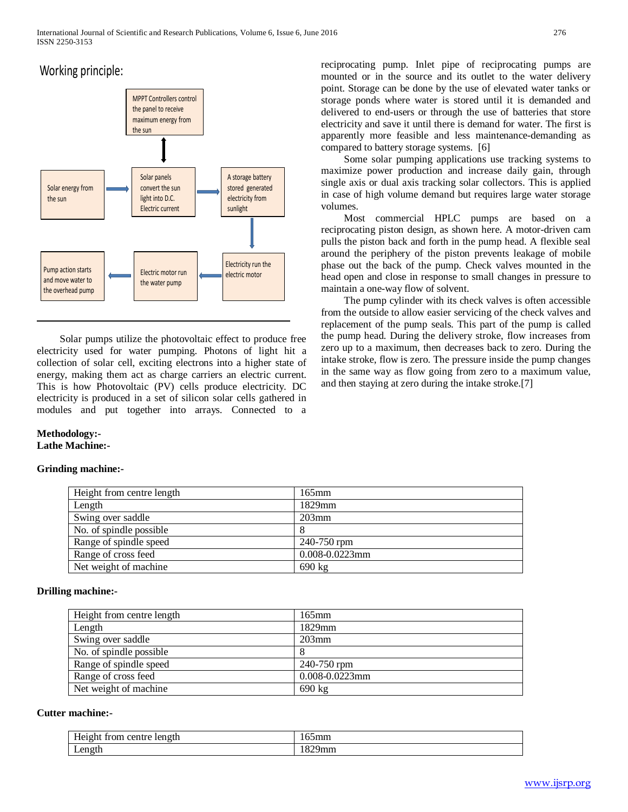## Working principle:



 Solar pumps utilize the photovoltaic effect to produce free electricity used for water pumping. Photons of light hit a collection of solar cell, exciting electrons into a higher state of energy, making them act as charge carriers an electric current. This is how Photovoltaic (PV) cells produce electricity. DC electricity is produced in a set of silicon solar cells gathered in modules and put together into arrays. Connected to a

#### **Methodology:- Lathe Machine:-**

#### **Grinding machine:-**

reciprocating pump. Inlet pipe of reciprocating pumps are mounted or in the source and its outlet to the water delivery point. Storage can be done by the use of elevated water tanks or storage ponds where water is stored until it is demanded and delivered to end-users or through the use of batteries that store electricity and save it until there is demand for water. The first is apparently more feasible and less maintenance-demanding as compared to battery storage systems. [6]

 Some solar pumping applications use tracking systems to maximize power production and increase daily gain, through single axis or dual axis tracking solar collectors. This is applied in case of high volume demand but requires large water storage volumes.

 Most commercial HPLC pumps are based on a reciprocating piston design, as shown here. A motor-driven cam pulls the piston back and forth in the pump head. A flexible seal around the periphery of the piston prevents leakage of mobile phase out the back of the pump. Check valves mounted in the head open and close in response to small changes in pressure to maintain a one-way flow of solvent.

 The pump cylinder with its check valves is often accessible from the outside to allow easier servicing of the check valves and replacement of the pump seals. This part of the pump is called the pump head. During the delivery stroke, flow increases from zero up to a maximum, then decreases back to zero. During the intake stroke, flow is zero. The pressure inside the pump changes in the same way as flow going from zero to a maximum value, and then staying at zero during the intake stroke.[7]

| Height from centre length | $165$ mm            |
|---------------------------|---------------------|
| Length                    | 1829mm              |
| Swing over saddle         | $203$ mm            |
| No. of spindle possible   |                     |
| Range of spindle speed    | 240-750 rpm         |
| Range of cross feed       | $0.008 - 0.0223$ mm |
| Net weight of machine     | 690 kg              |

#### **Drilling machine:-**

| Height from centre length | $165$ mm            |
|---------------------------|---------------------|
| Length                    | 1829mm              |
| Swing over saddle         | $203$ mm            |
| No. of spindle possible   | 8                   |
| Range of spindle speed    | 240-750 rpm         |
| Range of cross feed       | $0.008 - 0.0223$ mm |
| Net weight of machine     | $690 \text{ kg}$    |

#### **Cutter machine:-**

| T<br>: length<br>trom o<br>centre<br>Height | --<br>mmר             |
|---------------------------------------------|-----------------------|
| en oth<br><b>LUIRUI</b>                     | 0.20<br>эшш<br>$\sim$ |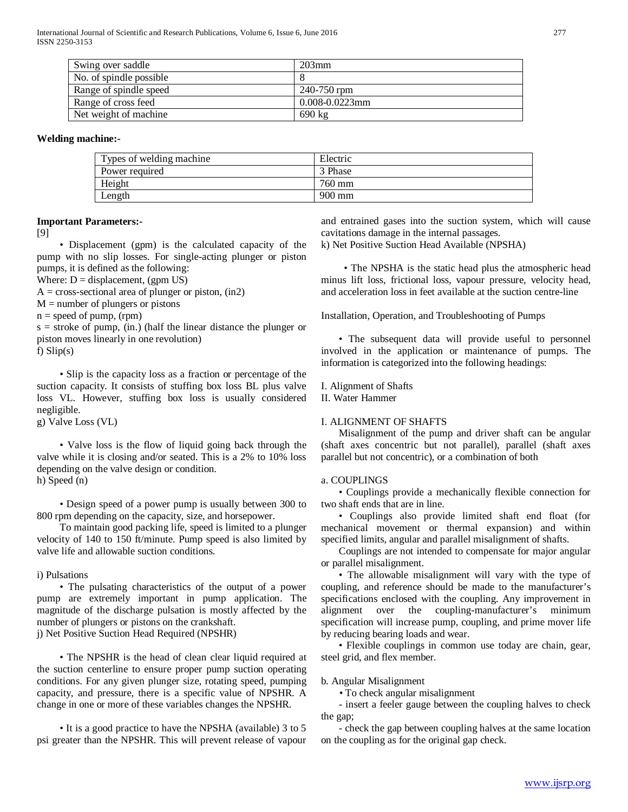| Swing over saddle       | $203$ mm            |
|-------------------------|---------------------|
| No. of spindle possible |                     |
| Range of spindle speed  | 240-750 rpm         |
| Range of cross feed     | $0.008 - 0.0223$ mm |
| Net weight of machine   | 690 kg              |

#### **Welding machine:-**

| Types of welding machine. | Electric         |
|---------------------------|------------------|
| Power required            | 3 Phase          |
| Height                    | 760 mm           |
| Length                    | $900 \text{ mm}$ |

#### **Important Parameters:-**

[9]

 • Displacement (gpm) is the calculated capacity of the pump with no slip losses. For single-acting plunger or piston pumps, it is defined as the following:

Where:  $D =$  displacement, (gpm US)

 $A = cross-sectional area of plunger or piston, (in2)$ 

 $M =$  number of plungers or pistons

 $n = speed of pump, (rpm)$ 

 $s =$  stroke of pump, (in.) (half the linear distance the plunger or piston moves linearly in one revolution)

f) Slip(s)

 • Slip is the capacity loss as a fraction or percentage of the suction capacity. It consists of stuffing box loss BL plus valve loss VL. However, stuffing box loss is usually considered negligible.

g) Valve Loss (VL)

 • Valve loss is the flow of liquid going back through the valve while it is closing and/or seated. This is a 2% to 10% loss depending on the valve design or condition. h) Speed (n)

 • Design speed of a power pump is usually between 300 to 800 rpm depending on the capacity, size, and horsepower.

 To maintain good packing life, speed is limited to a plunger velocity of 140 to 150 ft/minute. Pump speed is also limited by valve life and allowable suction conditions.

i) Pulsations

 • The pulsating characteristics of the output of a power pump are extremely important in pump application. The magnitude of the discharge pulsation is mostly affected by the number of plungers or pistons on the crankshaft.

j) Net Positive Suction Head Required (NPSHR)

 • The NPSHR is the head of clean clear liquid required at the suction centerline to ensure proper pump suction operating conditions. For any given plunger size, rotating speed, pumping capacity, and pressure, there is a specific value of NPSHR. A change in one or more of these variables changes the NPSHR.

 • It is a good practice to have the NPSHA (available) 3 to 5 psi greater than the NPSHR. This will prevent release of vapour and entrained gases into the suction system, which will cause cavitations damage in the internal passages.

k) Net Positive Suction Head Available (NPSHA)

 • The NPSHA is the static head plus the atmospheric head minus lift loss, frictional loss, vapour pressure, velocity head, and acceleration loss in feet available at the suction centre-line

Installation, Operation, and Troubleshooting of Pumps

 • The subsequent data will provide useful to personnel involved in the application or maintenance of pumps. The information is categorized into the following headings:

I. Alignment of Shafts

II. Water Hammer

#### I. ALIGNMENT OF SHAFTS

 Misalignment of the pump and driver shaft can be angular (shaft axes concentric but not parallel), parallel (shaft axes parallel but not concentric), or a combination of both

#### a. COUPLINGS

 • Couplings provide a mechanically flexible connection for two shaft ends that are in line.

 • Couplings also provide limited shaft end float (for mechanical movement or thermal expansion) and within specified limits, angular and parallel misalignment of shafts.

 Couplings are not intended to compensate for major angular or parallel misalignment.

 • The allowable misalignment will vary with the type of coupling, and reference should be made to the manufacturer's specifications enclosed with the coupling. Any improvement in alignment over the coupling-manufacturer's minimum specification will increase pump, coupling, and prime mover life by reducing bearing loads and wear.

 • Flexible couplings in common use today are chain, gear, steel grid, and flex member.

#### b. Angular Misalignment

• To check angular misalignment

 - insert a feeler gauge between the coupling halves to check the gap;

 - check the gap between coupling halves at the same location on the coupling as for the original gap check.